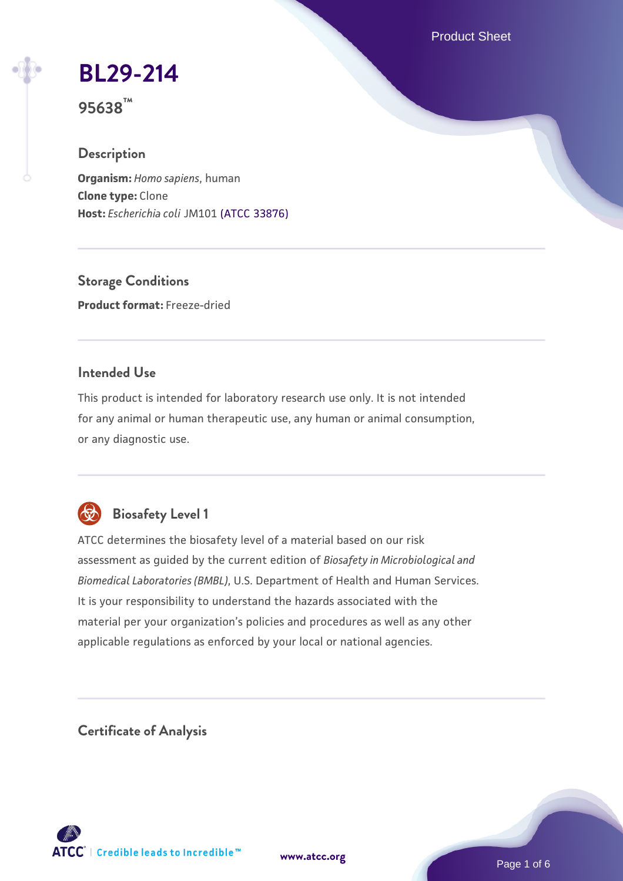Product Sheet

## **[BL29-214](https://www.atcc.org/products/95638)**

**95638™**

#### **Description**

**Organism:** *Homo sapiens*, human **Clone type:** Clone **Host:** *Escherichia coli* JM101 [\(ATCC 33876\)](https://www.atcc.org/products/33876)

**Storage Conditions Product format:** Freeze-dried

#### **Intended Use**

This product is intended for laboratory research use only. It is not intended for any animal or human therapeutic use, any human or animal consumption, or any diagnostic use.



### **Biosafety Level 1**

ATCC determines the biosafety level of a material based on our risk assessment as guided by the current edition of *Biosafety in Microbiological and Biomedical Laboratories (BMBL)*, U.S. Department of Health and Human Services. It is your responsibility to understand the hazards associated with the material per your organization's policies and procedures as well as any other applicable regulations as enforced by your local or national agencies.

**Certificate of Analysis**

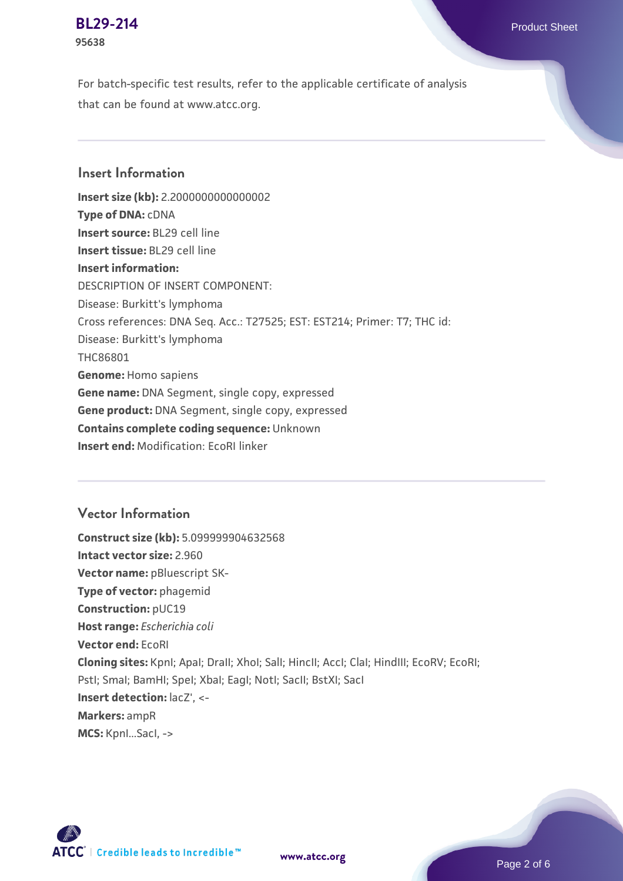#### **[BL29-214](https://www.atcc.org/products/95638)** Product Sheet **95638**

For batch-specific test results, refer to the applicable certificate of analysis that can be found at www.atcc.org.

#### **Insert Information**

**Insert size (kb):** 2.2000000000000002 **Type of DNA:** cDNA **Insert source:** BL29 cell line **Insert tissue:** BL29 cell line **Insert information:** DESCRIPTION OF INSERT COMPONENT: Disease: Burkitt's lymphoma Cross references: DNA Seq. Acc.: T27525; EST: EST214; Primer: T7; THC id: Disease: Burkitt's lymphoma THC86801 **Genome:** Homo sapiens **Gene name:** DNA Segment, single copy, expressed **Gene product:** DNA Segment, single copy, expressed **Contains complete coding sequence:** Unknown **Insert end:** Modification: EcoRI linker

#### **Vector Information**

**Construct size (kb):** 5.099999904632568 **Intact vector size:** 2.960 **Vector name:** pBluescript SK-**Type of vector:** phagemid **Construction:** pUC19 **Host range:** *Escherichia coli* **Vector end:** EcoRI **Cloning sites:** KpnI; ApaI; DraII; XhoI; SalI; HincII; AccI; ClaI; HindIII; EcoRV; EcoRI; Pstl; Smal; BamHI; Spel; Xbal; EagI; NotI; SacII; BstXI; SacI **Insert detection:** lacZ', <- **Markers:** ampR **MCS:** KpnI...SacI, ->

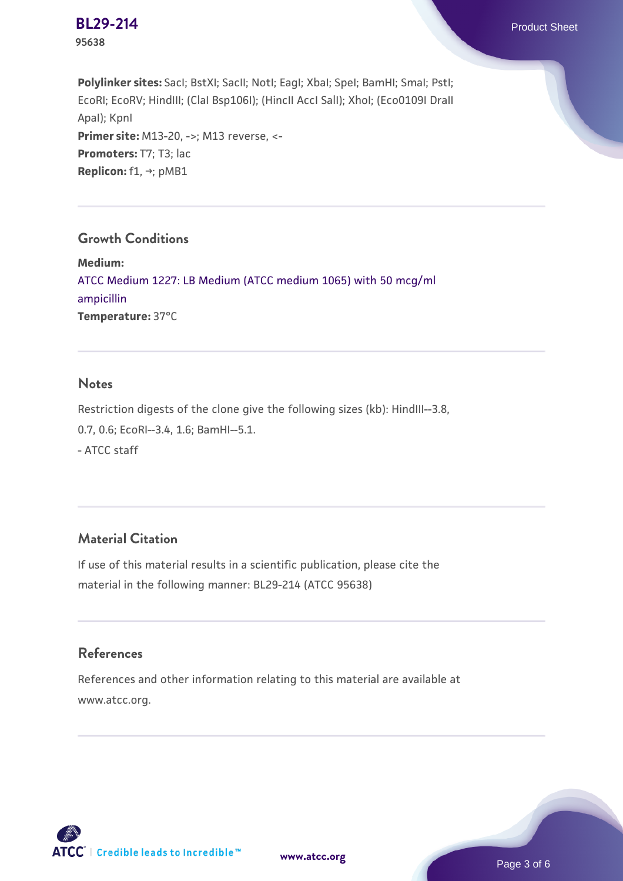

**Polylinker sites:** SacI; BstXI; SacII; NotI; EagI; XbaI; SpeI; BamHI; SmaI; PstI; EcoRI; EcoRV; HindIII; (ClaI Bsp106I); (HincII AccI SalI); XhoI; (Eco0109I DraII ApaI); KpnI **Primer site: M13-20, ->; M13 reverse, <-**Promoters: T7; T3; lac **Replicon:** f1, →; pMB1

#### **Growth Conditions**

**Medium:**  [ATCC Medium 1227: LB Medium \(ATCC medium 1065\) with 50 mcg/ml](https://www.atcc.org/-/media/product-assets/documents/microbial-media-formulations/1/2/2/7/atcc-medium-1227.pdf?rev=581c98603b3e4b29a6d62ee0ba9ca578) [ampicillin](https://www.atcc.org/-/media/product-assets/documents/microbial-media-formulations/1/2/2/7/atcc-medium-1227.pdf?rev=581c98603b3e4b29a6d62ee0ba9ca578) **Temperature:** 37°C

#### **Notes**

Restriction digests of the clone give the following sizes (kb): HindIII--3.8, 0.7, 0.6; EcoRI--3.4, 1.6; BamHI--5.1. - ATCC staff

#### **Material Citation**

If use of this material results in a scientific publication, please cite the material in the following manner: BL29-214 (ATCC 95638)

#### **References**

References and other information relating to this material are available at www.atcc.org.



**[www.atcc.org](http://www.atcc.org)**

Page 3 of 6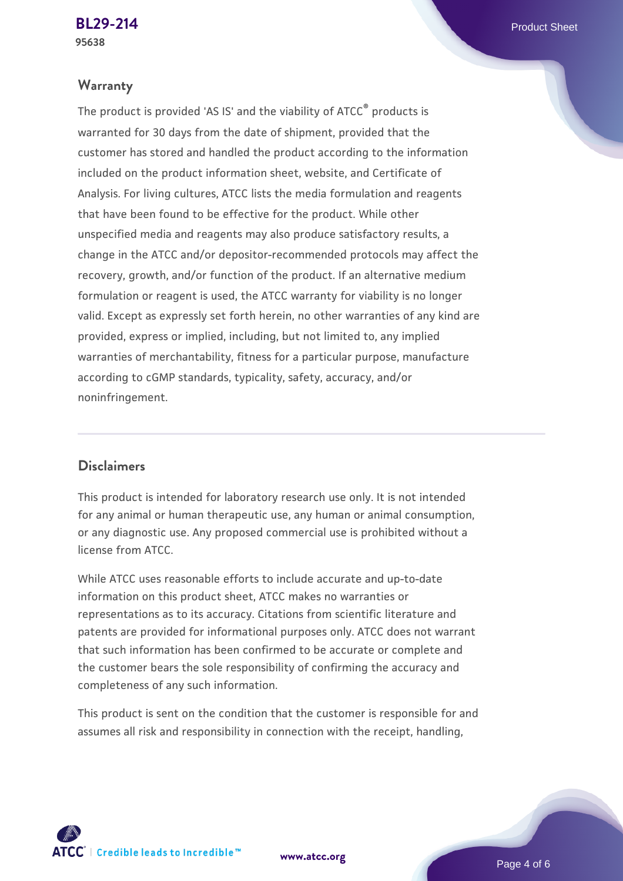#### **Warranty**

The product is provided 'AS IS' and the viability of ATCC® products is warranted for 30 days from the date of shipment, provided that the customer has stored and handled the product according to the information included on the product information sheet, website, and Certificate of Analysis. For living cultures, ATCC lists the media formulation and reagents that have been found to be effective for the product. While other unspecified media and reagents may also produce satisfactory results, a change in the ATCC and/or depositor-recommended protocols may affect the recovery, growth, and/or function of the product. If an alternative medium formulation or reagent is used, the ATCC warranty for viability is no longer valid. Except as expressly set forth herein, no other warranties of any kind are provided, express or implied, including, but not limited to, any implied warranties of merchantability, fitness for a particular purpose, manufacture according to cGMP standards, typicality, safety, accuracy, and/or noninfringement.

#### **Disclaimers**

This product is intended for laboratory research use only. It is not intended for any animal or human therapeutic use, any human or animal consumption, or any diagnostic use. Any proposed commercial use is prohibited without a license from ATCC.

While ATCC uses reasonable efforts to include accurate and up-to-date information on this product sheet, ATCC makes no warranties or representations as to its accuracy. Citations from scientific literature and patents are provided for informational purposes only. ATCC does not warrant that such information has been confirmed to be accurate or complete and the customer bears the sole responsibility of confirming the accuracy and completeness of any such information.

This product is sent on the condition that the customer is responsible for and assumes all risk and responsibility in connection with the receipt, handling,

**[www.atcc.org](http://www.atcc.org)**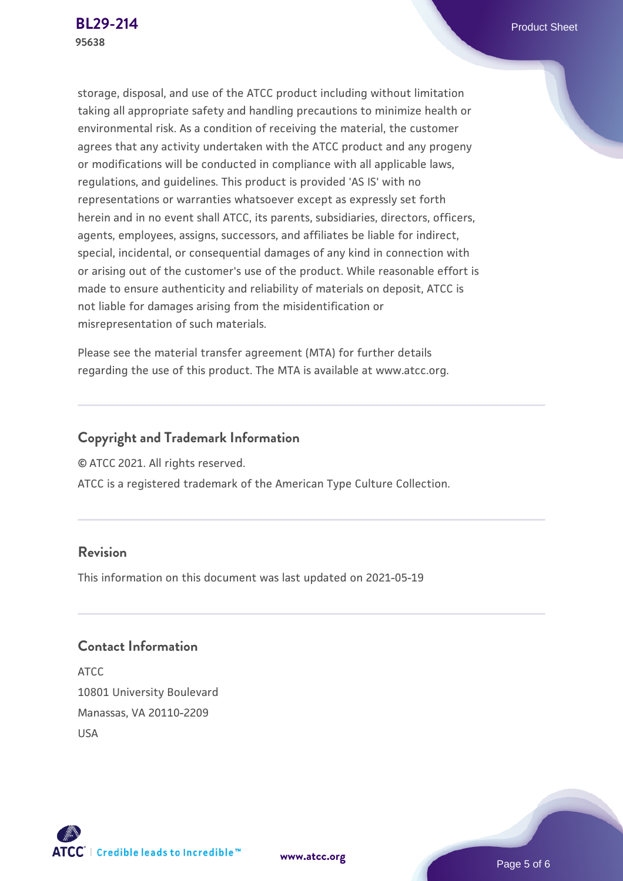storage, disposal, and use of the ATCC product including without limitation taking all appropriate safety and handling precautions to minimize health or environmental risk. As a condition of receiving the material, the customer agrees that any activity undertaken with the ATCC product and any progeny or modifications will be conducted in compliance with all applicable laws, regulations, and guidelines. This product is provided 'AS IS' with no representations or warranties whatsoever except as expressly set forth herein and in no event shall ATCC, its parents, subsidiaries, directors, officers, agents, employees, assigns, successors, and affiliates be liable for indirect, special, incidental, or consequential damages of any kind in connection with or arising out of the customer's use of the product. While reasonable effort is made to ensure authenticity and reliability of materials on deposit, ATCC is not liable for damages arising from the misidentification or misrepresentation of such materials.

Please see the material transfer agreement (MTA) for further details regarding the use of this product. The MTA is available at www.atcc.org.

#### **Copyright and Trademark Information**

© ATCC 2021. All rights reserved.

ATCC is a registered trademark of the American Type Culture Collection.

#### **Revision**

This information on this document was last updated on 2021-05-19

#### **Contact Information**

ATCC 10801 University Boulevard Manassas, VA 20110-2209 USA